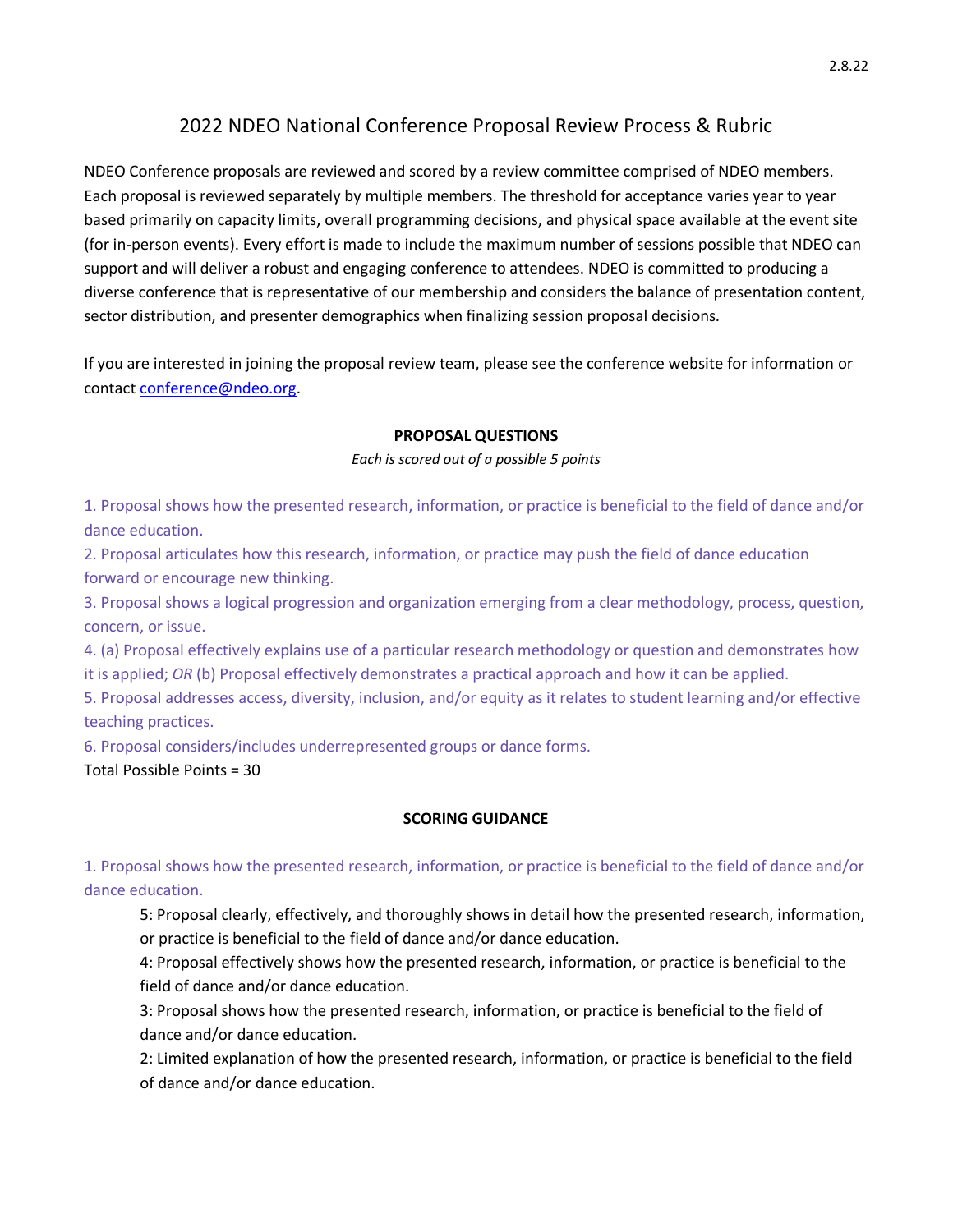# 2022 NDEO National Conference Proposal Review Process & Rubric

NDEO Conference proposals are reviewed and scored by a review committee comprised of NDEO members. Each proposal is reviewed separately by multiple members. The threshold for acceptance varies year to year based primarily on capacity limits, overall programming decisions, and physical space available at the event site (for in-person events). Every effort is made to include the maximum number of sessions possible that NDEO can support and will deliver a robust and engaging conference to attendees. NDEO is committed to producing a diverse conference that is representative of our membership and considers the balance of presentation content, sector distribution, and presenter demographics when finalizing session proposal decisions.

If you are interested in joining the proposal review team, please see the conference website for information or contact conference@ndeo.org.

#### **PROPOSAL QUESTIONS**

#### *Each is scored out of a possible 5 points*

1. Proposal shows how the presented research, information, or practice is beneficial to the field of dance and/or dance education.

2. Proposal articulates how this research, information, or practice may push the field of dance education forward or encourage new thinking.

3. Proposal shows a logical progression and organization emerging from a clear methodology, process, question, concern, or issue.

4. (a) Proposal effectively explains use of a particular research methodology or question and demonstrates how it is applied; *OR* (b) Proposal effectively demonstrates a practical approach and how it can be applied.

5. Proposal addresses access, diversity, inclusion, and/or equity as it relates to student learning and/or effective teaching practices.

6. Proposal considers/includes underrepresented groups or dance forms.

Total Possible Points = 30

## **SCORING GUIDANCE**

1. Proposal shows how the presented research, information, or practice is beneficial to the field of dance and/or dance education.

5: Proposal clearly, effectively, and thoroughly shows in detail how the presented research, information, or practice is beneficial to the field of dance and/or dance education.

4: Proposal effectively shows how the presented research, information, or practice is beneficial to the field of dance and/or dance education.

3: Proposal shows how the presented research, information, or practice is beneficial to the field of dance and/or dance education.

2: Limited explanation of how the presented research, information, or practice is beneficial to the field of dance and/or dance education.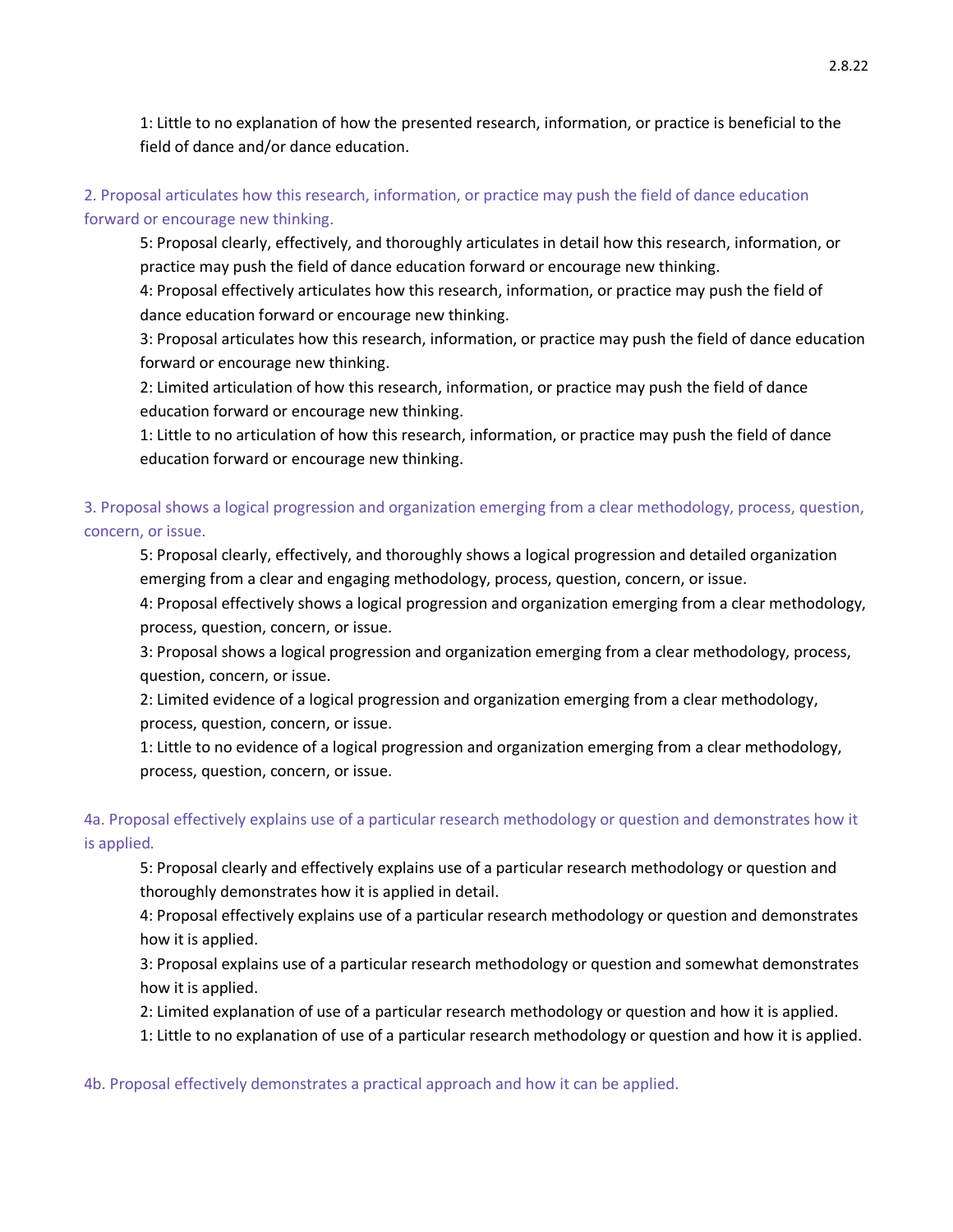1: Little to no explanation of how the presented research, information, or practice is beneficial to the field of dance and/or dance education.

#### 2. Proposal articulates how this research, information, or practice may push the field of dance education forward or encourage new thinking.

5: Proposal clearly, effectively, and thoroughly articulates in detail how this research, information, or practice may push the field of dance education forward or encourage new thinking.

4: Proposal effectively articulates how this research, information, or practice may push the field of dance education forward or encourage new thinking.

3: Proposal articulates how this research, information, or practice may push the field of dance education forward or encourage new thinking.

2: Limited articulation of how this research, information, or practice may push the field of dance education forward or encourage new thinking.

1: Little to no articulation of how this research, information, or practice may push the field of dance education forward or encourage new thinking.

## 3. Proposal shows a logical progression and organization emerging from a clear methodology, process, question, concern, or issue.

5: Proposal clearly, effectively, and thoroughly shows a logical progression and detailed organization emerging from a clear and engaging methodology, process, question, concern, or issue.

4: Proposal effectively shows a logical progression and organization emerging from a clear methodology, process, question, concern, or issue.

3: Proposal shows a logical progression and organization emerging from a clear methodology, process, question, concern, or issue.

2: Limited evidence of a logical progression and organization emerging from a clear methodology, process, question, concern, or issue.

1: Little to no evidence of a logical progression and organization emerging from a clear methodology, process, question, concern, or issue.

## 4a. Proposal effectively explains use of a particular research methodology or question and demonstrates how it is applied.

5: Proposal clearly and effectively explains use of a particular research methodology or question and thoroughly demonstrates how it is applied in detail.

4: Proposal effectively explains use of a particular research methodology or question and demonstrates how it is applied.

3: Proposal explains use of a particular research methodology or question and somewhat demonstrates how it is applied.

2: Limited explanation of use of a particular research methodology or question and how it is applied.

1: Little to no explanation of use of a particular research methodology or question and how it is applied.

4b. Proposal effectively demonstrates a practical approach and how it can be applied.